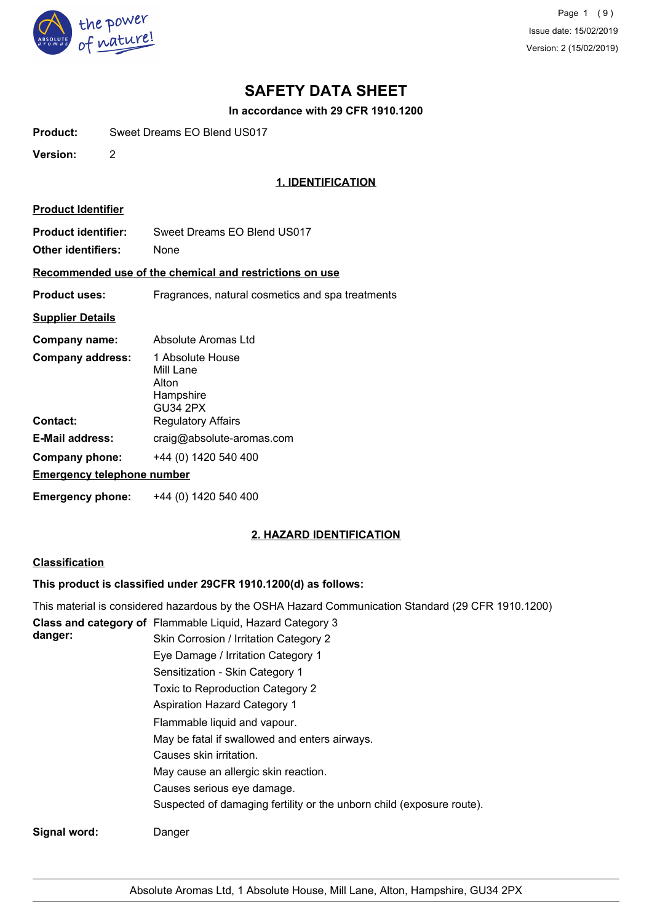

Page 1 (9) Issue date: 15/02/2019 Version: 2 (15/02/2019)

# **SAFETY DATA SHEET**

**In accordance with 29 CFR 1910.1200**

**Product:** Sweet Dreams EO Blend US017

**Version:** 2

# **1. IDENTIFICATION**

| <b>Product Identifier</b>                               |                                                                 |  |
|---------------------------------------------------------|-----------------------------------------------------------------|--|
| <b>Product identifier:</b><br>Other identifiers:        | Sweet Dreams EO Blend US017<br>None                             |  |
| Recommended use of the chemical and restrictions on use |                                                                 |  |
| <b>Product uses:</b>                                    | Fragrances, natural cosmetics and spa treatments                |  |
| <b>Supplier Details</b>                                 |                                                                 |  |
| Company name:                                           | Absolute Aromas I td                                            |  |
| Company address:                                        | 1 Absolute House<br>Mill Lane<br>Alton<br>Hampshire<br>GU34 2PX |  |
| Contact:                                                | <b>Regulatory Affairs</b>                                       |  |
| E-Mail address:                                         | craig@absolute-aromas.com                                       |  |
| Company phone:                                          | +44 (0) 1420 540 400                                            |  |
| <b>Emergency telephone number</b>                       |                                                                 |  |
| Emergency phone:                                        | +44 (0) 1420 540 400                                            |  |

## **2. HAZARD IDENTIFICATION**

## **Classification**

# **This product is classified under 29CFR 1910.1200(d) as follows:**

|              | This material is considered hazardous by the OSHA Hazard Communication Standard (29 CFR 1910.1200) |
|--------------|----------------------------------------------------------------------------------------------------|
|              | Class and category of Flammable Liquid, Hazard Category 3                                          |
| danger:      | Skin Corrosion / Irritation Category 2                                                             |
|              | Eye Damage / Irritation Category 1                                                                 |
|              | Sensitization - Skin Category 1                                                                    |
|              | Toxic to Reproduction Category 2                                                                   |
|              | <b>Aspiration Hazard Category 1</b>                                                                |
|              | Flammable liquid and vapour.                                                                       |
|              | May be fatal if swallowed and enters airways.                                                      |
|              | Causes skin irritation.                                                                            |
|              | May cause an allergic skin reaction.                                                               |
|              | Causes serious eye damage.                                                                         |
|              | Suspected of damaging fertility or the unborn child (exposure route).                              |
| Signal word: | Danger                                                                                             |
|              |                                                                                                    |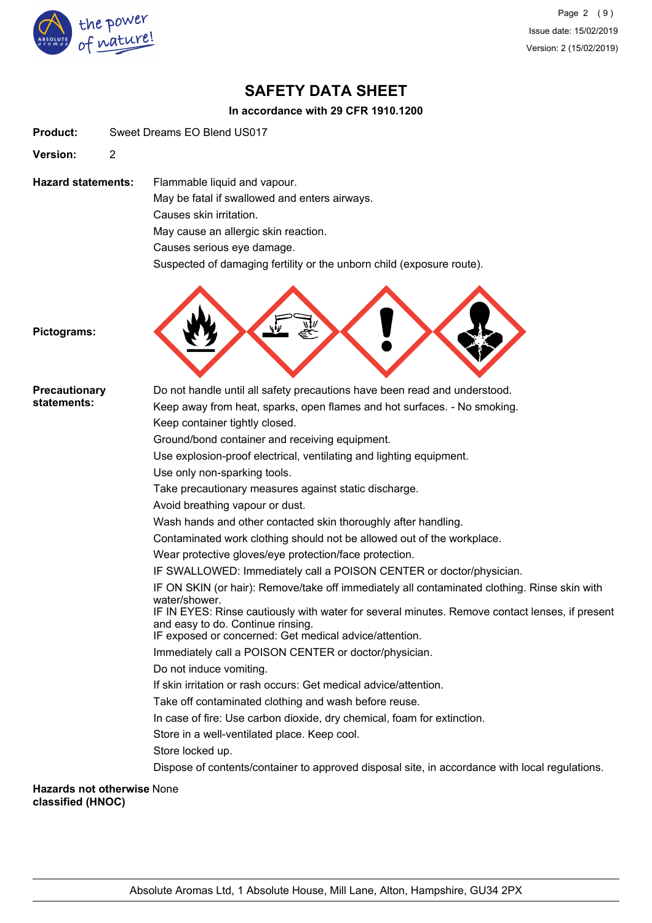

Page 2 (9) Issue date: 15/02/2019 Version: 2 (15/02/2019)

# **SAFETY DATA SHEET**

## **In accordance with 29 CFR 1910.1200**

**Product:** Sweet Dreams EO Blend US017

**Version:** 2

**Hazard statements:** Flammable liquid and vapour. May be fatal if swallowed and enters airways. Causes skin irritation. May cause an allergic skin reaction. Causes serious eye damage.

Suspected of damaging fertility or the unborn child (exposure route).



**Pictograms:**

| <b>Precautionary</b>                                   | Do not handle until all safety precautions have been read and understood.                                       |
|--------------------------------------------------------|-----------------------------------------------------------------------------------------------------------------|
| statements:                                            | Keep away from heat, sparks, open flames and hot surfaces. - No smoking.                                        |
|                                                        | Keep container tightly closed.                                                                                  |
|                                                        | Ground/bond container and receiving equipment.                                                                  |
|                                                        | Use explosion-proof electrical, ventilating and lighting equipment.                                             |
|                                                        | Use only non-sparking tools.                                                                                    |
|                                                        | Take precautionary measures against static discharge.                                                           |
|                                                        | Avoid breathing vapour or dust.                                                                                 |
|                                                        | Wash hands and other contacted skin thoroughly after handling.                                                  |
|                                                        | Contaminated work clothing should not be allowed out of the workplace.                                          |
|                                                        | Wear protective gloves/eye protection/face protection.                                                          |
|                                                        | IF SWALLOWED: Immediately call a POISON CENTER or doctor/physician.                                             |
|                                                        | IF ON SKIN (or hair): Remove/take off immediately all contaminated clothing. Rinse skin with                    |
|                                                        | water/shower.<br>IF IN EYES: Rinse cautiously with water for several minutes. Remove contact lenses, if present |
|                                                        | and easy to do. Continue rinsing.                                                                               |
|                                                        | IF exposed or concerned: Get medical advice/attention.                                                          |
|                                                        | Immediately call a POISON CENTER or doctor/physician.                                                           |
|                                                        | Do not induce vomiting.                                                                                         |
|                                                        | If skin irritation or rash occurs: Get medical advice/attention.                                                |
|                                                        | Take off contaminated clothing and wash before reuse.                                                           |
|                                                        | In case of fire: Use carbon dioxide, dry chemical, foam for extinction.                                         |
|                                                        | Store in a well-ventilated place. Keep cool.                                                                    |
|                                                        | Store locked up.                                                                                                |
|                                                        | Dispose of contents/container to approved disposal site, in accordance with local regulations.                  |
| <b>Hazards not otherwise None</b><br>classified (HNOC) |                                                                                                                 |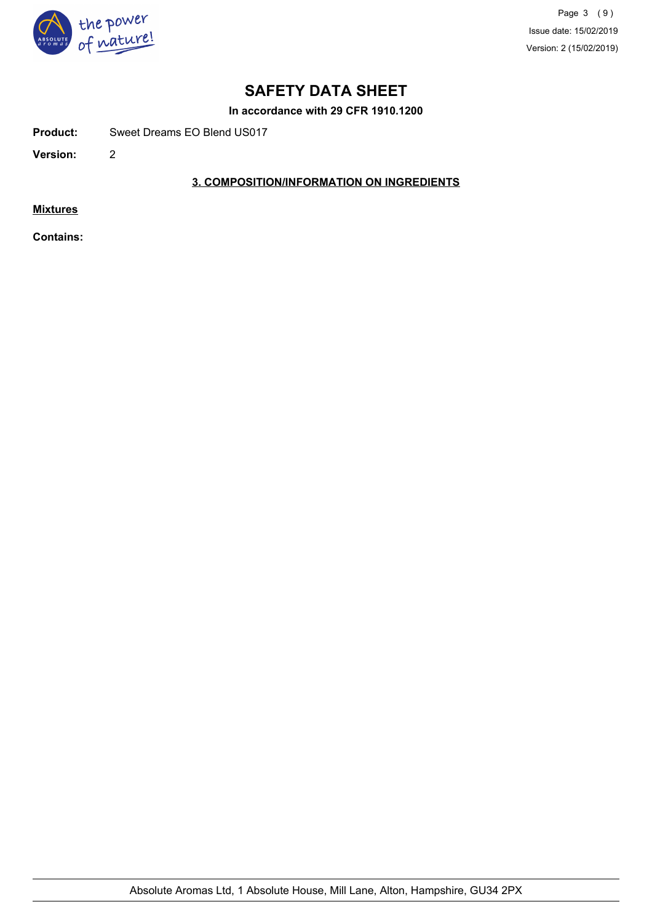

Page 3 (9) Issue date: 15/02/2019 Version: 2 (15/02/2019)

# **SAFETY DATA SHEET**

**In accordance with 29 CFR 1910.1200**

**Product:** Sweet Dreams EO Blend US017

**Version:** 2

# **3. COMPOSITION/INFORMATION ON INGREDIENTS**

**Mixtures**

**Contains:**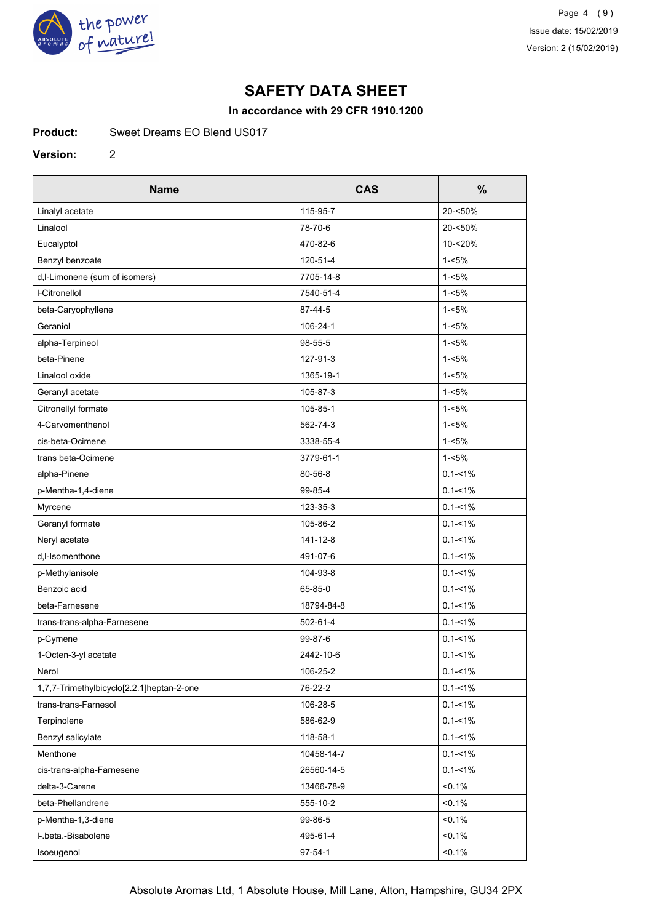

# **SAFETY DATA SHEET**

## **In accordance with 29 CFR 1910.1200**

**Product:** Sweet Dreams EO Blend US017

#### **Version:** 2

| <b>Name</b>                               | <b>CAS</b> | $\frac{0}{0}$ |
|-------------------------------------------|------------|---------------|
| Linalyl acetate                           | 115-95-7   | 20-<50%       |
| Linalool                                  | 78-70-6    | 20-<50%       |
| Eucalyptol                                | 470-82-6   | 10-<20%       |
| Benzyl benzoate                           | 120-51-4   | $1 - 5%$      |
| d, I-Limonene (sum of isomers)            | 7705-14-8  | $1 - 5%$      |
| <b>I-Citronellol</b>                      | 7540-51-4  | $1 - 5%$      |
| beta-Caryophyllene                        | 87-44-5    | $1 - 5%$      |
| Geraniol                                  | 106-24-1   | $1 - 5%$      |
| alpha-Terpineol                           | 98-55-5    | $1 - 5%$      |
| beta-Pinene                               | 127-91-3   | $1 - 5%$      |
| Linalool oxide                            | 1365-19-1  | $1 - 5%$      |
| Geranyl acetate                           | 105-87-3   | $1 - 5%$      |
| Citronellyl formate                       | 105-85-1   | $1 - 5%$      |
| 4-Carvomenthenol                          | 562-74-3   | $1 - 5%$      |
| cis-beta-Ocimene                          | 3338-55-4  | $1 - 5%$      |
| trans beta-Ocimene                        | 3779-61-1  | $1 - 5%$      |
| alpha-Pinene                              | 80-56-8    | $0.1 - 1\%$   |
| p-Mentha-1,4-diene                        | 99-85-4    | $0.1 - 1\%$   |
| Myrcene                                   | 123-35-3   | $0.1 - 1\%$   |
| Geranyl formate                           | 105-86-2   | $0.1 - 1\%$   |
| Neryl acetate                             | 141-12-8   | $0.1 - 1\%$   |
| d,I-Isomenthone                           | 491-07-6   | $0.1 - 1\%$   |
| p-Methylanisole                           | 104-93-8   | $0.1 - 1\%$   |
| Benzoic acid                              | 65-85-0    | $0.1 - 1\%$   |
| beta-Farnesene                            | 18794-84-8 | $0.1 - 1\%$   |
| trans-trans-alpha-Farnesene               | 502-61-4   | $0.1 - 1\%$   |
| p-Cymene                                  | 99-87-6    | $0.1 - 1\%$   |
| 1-Octen-3-yl acetate                      | 2442-10-6  | $0.1 - 1\%$   |
| Nerol                                     | 106-25-2   | $0.1 - 1\%$   |
| 1,7,7-Trimethylbicyclo[2.2.1]heptan-2-one | 76-22-2    | $0.1 - 1\%$   |
| trans-trans-Farnesol                      | 106-28-5   | $0.1 - 1\%$   |
| Terpinolene                               | 586-62-9   | $0.1 - 1\%$   |
| Benzyl salicylate                         | 118-58-1   | $0.1 - 1\%$   |
| Menthone                                  | 10458-14-7 | $0.1 - 1\%$   |
| cis-trans-alpha-Farnesene                 | 26560-14-5 | $0.1 - 1\%$   |
| delta-3-Carene                            | 13466-78-9 | $< 0.1\%$     |
| beta-Phellandrene                         | 555-10-2   | $< 0.1\%$     |
| p-Mentha-1,3-diene                        | 99-86-5    | $< 0.1\%$     |
| I-.beta.-Bisabolene                       | 495-61-4   | $< 0.1\%$     |
| Isoeugenol                                | 97-54-1    | $< 0.1\%$     |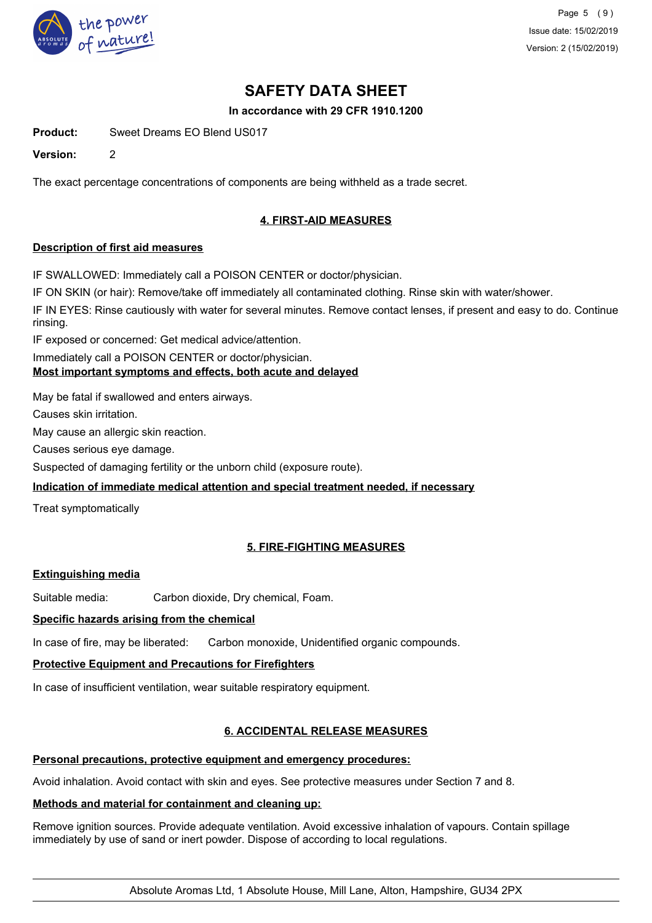

Page 5 (9) Issue date: 15/02/2019 Version: 2 (15/02/2019)

# **SAFETY DATA SHEET**

## **In accordance with 29 CFR 1910.1200**

**Product:** Sweet Dreams EO Blend US017

**Version:** 2

The exact percentage concentrations of components are being withheld as a trade secret.

# **4. FIRST-AID MEASURES**

## **Description of first aid measures**

IF SWALLOWED: Immediately call a POISON CENTER or doctor/physician.

IF ON SKIN (or hair): Remove/take off immediately all contaminated clothing. Rinse skin with water/shower.

IF IN EYES: Rinse cautiously with water for several minutes. Remove contact lenses, if present and easy to do. Continue rinsing.

IF exposed or concerned: Get medical advice/attention.

Immediately call a POISON CENTER or doctor/physician.

## **Most important symptoms and effects, both acute and delayed**

May be fatal if swallowed and enters airways.

Causes skin irritation.

May cause an allergic skin reaction.

Causes serious eye damage.

Suspected of damaging fertility or the unborn child (exposure route).

## **Indication of immediate medical attention and special treatment needed, if necessary**

Treat symptomatically

# **5. FIRE-FIGHTING MEASURES**

## **Extinguishing media**

Suitable media: Carbon dioxide, Dry chemical, Foam.

## **Specific hazards arising from the chemical**

In case of fire, may be liberated: Carbon monoxide, Unidentified organic compounds.

## **Protective Equipment and Precautions for Firefighters**

In case of insufficient ventilation, wear suitable respiratory equipment.

## **6. ACCIDENTAL RELEASE MEASURES**

## **Personal precautions, protective equipment and emergency procedures:**

Avoid inhalation. Avoid contact with skin and eyes. See protective measures under Section 7 and 8.

## **Methods and material for containment and cleaning up:**

Remove ignition sources. Provide adequate ventilation. Avoid excessive inhalation of vapours. Contain spillage immediately by use of sand or inert powder. Dispose of according to local regulations.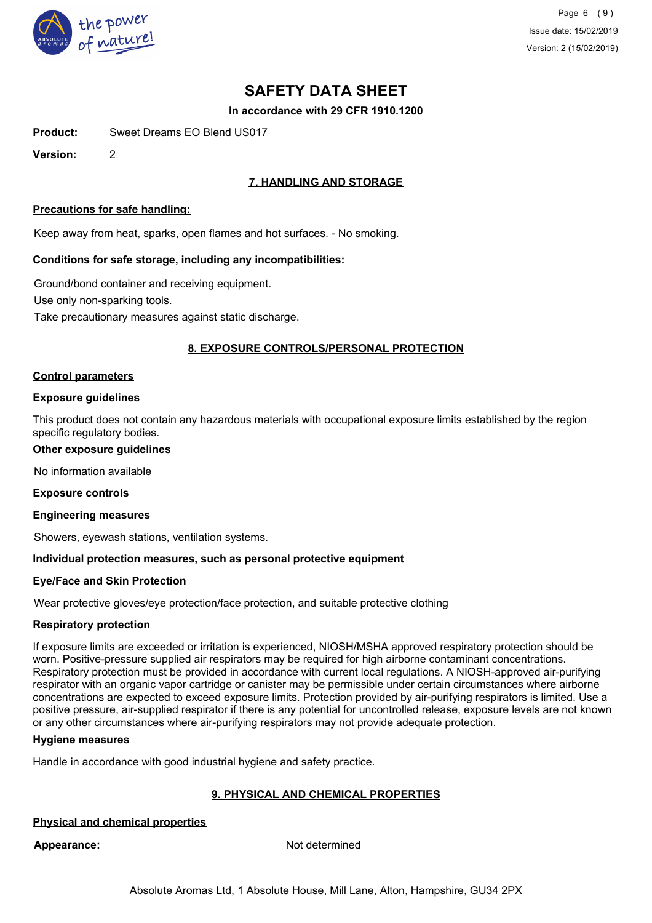

Page 6 (9) Issue date: 15/02/2019 Version: 2 (15/02/2019)

# **SAFETY DATA SHEET**

**In accordance with 29 CFR 1910.1200**

**Product:** Sweet Dreams EO Blend US017

**Version:** 2

# **7. HANDLING AND STORAGE**

### **Precautions for safe handling:**

Keep away from heat, sparks, open flames and hot surfaces. - No smoking.

#### **Conditions for safe storage, including any incompatibilities:**

Ground/bond container and receiving equipment. Use only non-sparking tools. Take precautionary measures against static discharge.

## **8. EXPOSURE CONTROLS/PERSONAL PROTECTION**

#### **Control parameters**

#### **Exposure guidelines**

This product does not contain any hazardous materials with occupational exposure limits established by the region specific regulatory bodies.

### **Other exposure guidelines**

No information available

#### **Exposure controls**

#### **Engineering measures**

Showers, eyewash stations, ventilation systems.

## **Individual protection measures, such as personal protective equipment**

## **Eye/Face and Skin Protection**

Wear protective gloves/eye protection/face protection, and suitable protective clothing

#### **Respiratory protection**

If exposure limits are exceeded or irritation is experienced, NIOSH/MSHA approved respiratory protection should be worn. Positive-pressure supplied air respirators may be required for high airborne contaminant concentrations. Respiratory protection must be provided in accordance with current local regulations. A NIOSH-approved air-purifying respirator with an organic vapor cartridge or canister may be permissible under certain circumstances where airborne concentrations are expected to exceed exposure limits. Protection provided by air-purifying respirators is limited. Use a positive pressure, air-supplied respirator if there is any potential for uncontrolled release, exposure levels are not known or any other circumstances where air-purifying respirators may not provide adequate protection.

#### **Hygiene measures**

Handle in accordance with good industrial hygiene and safety practice.

# **9. PHYSICAL AND CHEMICAL PROPERTIES**

# **Physical and chemical properties**

Appearance: Not determined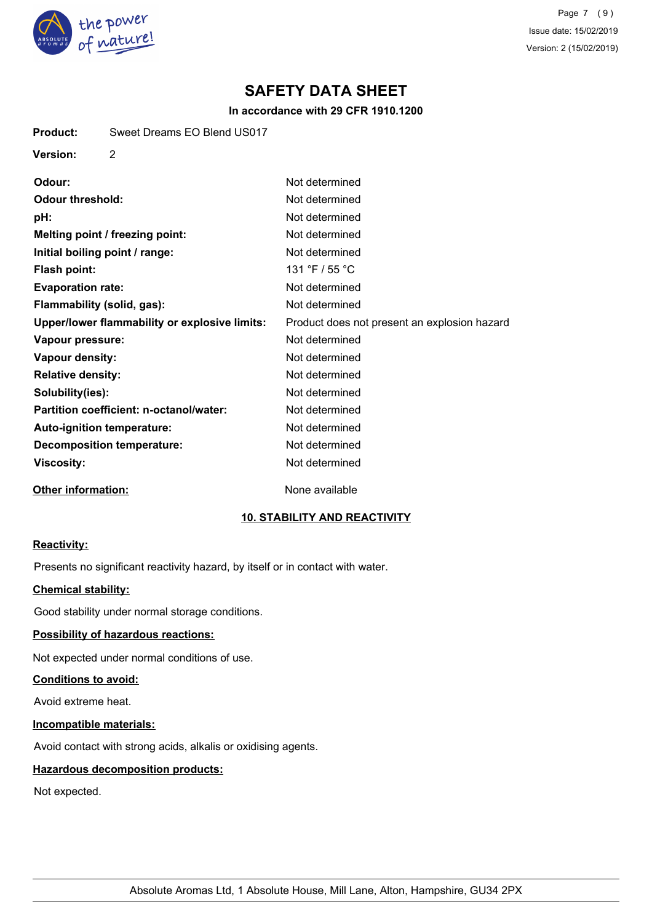

**Product:** Sweet Dreams EO Blend US017

Page 7 (9) Issue date: 15/02/2019 Version: 2 (15/02/2019)

# **SAFETY DATA SHEET**

## **In accordance with 29 CFR 1910.1200**

| Version:<br>2                                        |                                              |
|------------------------------------------------------|----------------------------------------------|
| Odour:                                               | Not determined                               |
| <b>Odour threshold:</b>                              | Not determined                               |
| pH:                                                  | Not determined                               |
| Melting point / freezing point:                      | Not determined                               |
| Initial boiling point / range:                       | Not determined                               |
| <b>Flash point:</b>                                  | 131 °F / 55 °C                               |
| <b>Evaporation rate:</b>                             | Not determined                               |
| Flammability (solid, gas):                           | Not determined                               |
| <b>Upper/lower flammability or explosive limits:</b> | Product does not present an explosion hazard |
| Vapour pressure:                                     | Not determined                               |
| <b>Vapour density:</b>                               | Not determined                               |
| <b>Relative density:</b>                             | Not determined                               |
| Solubility(ies):                                     | Not determined                               |
| Partition coefficient: n-octanol/water:              | Not determined                               |
| Auto-ignition temperature:                           | Not determined                               |
| <b>Decomposition temperature:</b>                    | Not determined                               |
| <b>Viscosity:</b>                                    | Not determined                               |
| <b>Other information:</b>                            | None available                               |

## **10. STABILITY AND REACTIVITY**

## **Reactivity:**

Presents no significant reactivity hazard, by itself or in contact with water.

## **Chemical stability:**

Good stability under normal storage conditions.

# **Possibility of hazardous reactions:**

Not expected under normal conditions of use.

## **Conditions to avoid:**

Avoid extreme heat.

## **Incompatible materials:**

Avoid contact with strong acids, alkalis or oxidising agents.

## **Hazardous decomposition products:**

Not expected.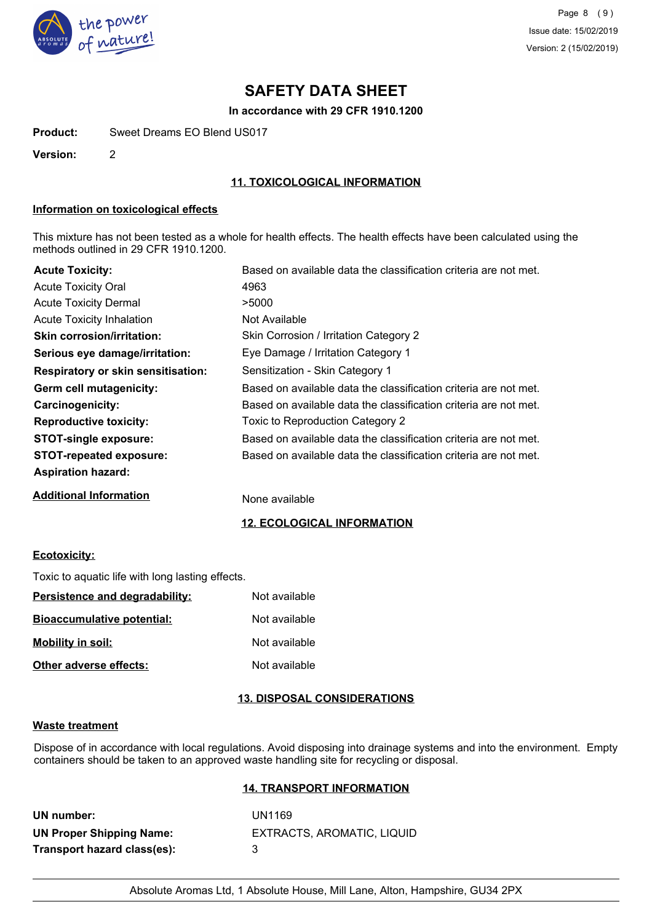

# **SAFETY DATA SHEET**

### **In accordance with 29 CFR 1910.1200**

**Product:** Sweet Dreams EO Blend US017

**Version:** 2

## **11. TOXICOLOGICAL INFORMATION**

## **Information on toxicological effects**

This mixture has not been tested as a whole for health effects. The health effects have been calculated using the methods outlined in 29 CFR 1910.1200.

| <b>Acute Toxicity:</b>                    | Based on available data the classification criteria are not met. |
|-------------------------------------------|------------------------------------------------------------------|
| <b>Acute Toxicity Oral</b>                | 4963                                                             |
| <b>Acute Toxicity Dermal</b>              | >5000                                                            |
| Acute Toxicity Inhalation                 | Not Available                                                    |
| <b>Skin corrosion/irritation:</b>         | Skin Corrosion / Irritation Category 2                           |
| Serious eye damage/irritation:            | Eye Damage / Irritation Category 1                               |
| <b>Respiratory or skin sensitisation:</b> | Sensitization - Skin Category 1                                  |
| Germ cell mutagenicity:                   | Based on available data the classification criteria are not met. |
| Carcinogenicity:                          | Based on available data the classification criteria are not met. |
| <b>Reproductive toxicity:</b>             | Toxic to Reproduction Category 2                                 |
| <b>STOT-single exposure:</b>              | Based on available data the classification criteria are not met. |
| <b>STOT-repeated exposure:</b>            | Based on available data the classification criteria are not met. |
| <b>Aspiration hazard:</b>                 |                                                                  |
| <b>Additional Information</b>             | None available                                                   |

## **12. ECOLOGICAL INFORMATION**

## **Ecotoxicity:**

Toxic to aquatic life with long lasting effects.

| Persistence and degradability:    | Not available |
|-----------------------------------|---------------|
| <u>Bioaccumulative potential:</u> | Not available |
| <b>Mobility in soil:</b>          | Not available |
| Other adverse effects:            | Not available |

## **13. DISPOSAL CONSIDERATIONS**

### **Waste treatment**

Dispose of in accordance with local regulations. Avoid disposing into drainage systems and into the environment. Empty containers should be taken to an approved waste handling site for recycling or disposal.

#### **14. TRANSPORT INFORMATION**

| UN number:                      |  |
|---------------------------------|--|
| <b>UN Proper Shipping Name:</b> |  |
| Transport hazard class(es):     |  |

**UN number:** UN1169 **UN Proper Shipping Name:** EXTRACTS, AROMATIC, LIQUID